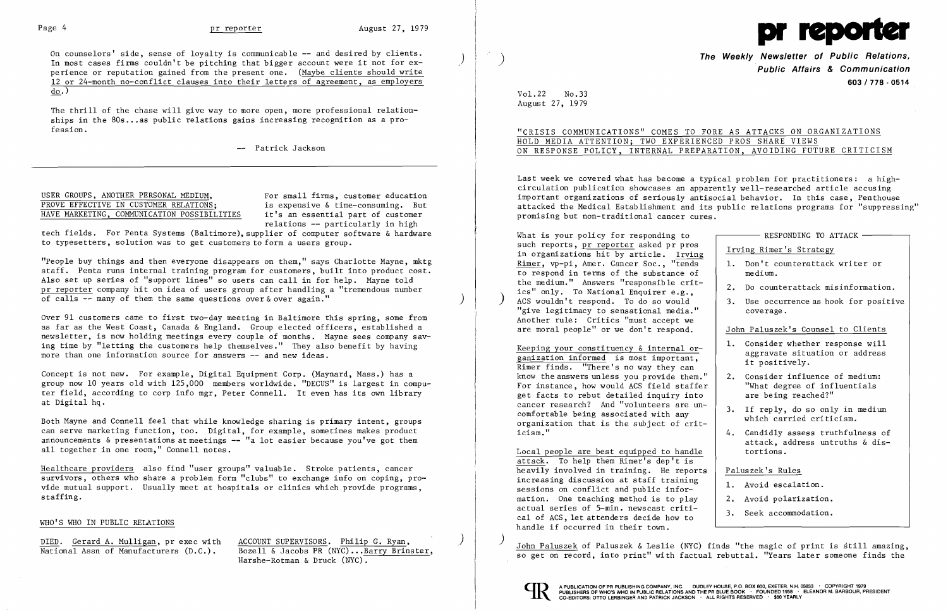

On counselors' side, sense of loyalty is communicable -- and desired by clients. In most cases firms couldn't be pitching that bigger account were it not for  $ex$ perience or reputation gained from the present one. (Maybe clients should write 12 or 24-month no-conflict clauses into their letters of agreement, as employers do.)

The thrill of the chase will give way to more open, more professional relationships in the 80s ... as public relations gains increasing recognition as a pro fession.

-- Patrick Jackson

## USER GROUPS, ANOTHER PERSONAL MEDIUM,<br>
PROVE EFFECTIVE IN CUSTOMER RELATIONS: is expensive & time-consuming. But PROVE EFFECTIVE IN CUSTOMER RELATIONS; is expensive & time-consuming. But<br>HAVE MARKETING, COMMUNICATION POSSIBILITIES it's an essential part of customer HAVE MARKETING, COMMUNICATION POSSIBILITIES

tech fields. For Penta Systems (Baltimore), supplier of computer software & hardware to typesetters, solution was to get customers to form a users group.

"People buy things and then everyone disappears on them," says Charlotte Mayne, mktg staff. Penta runs internal training program for customers, built into product cost. Also set up series of "support lines" so users can call in for help. Mayne told pr reporter company hit on idea of users group after handling a "tremendous number of calls  $\overline{-}$  many of them the same questions over  $\&$  over again."

Over 91 customers came to first two-day meeting in Baltimore this spring, some from as far as the West Coast, Canada & England. Group elected officers, established a newsletter, is now holding meetings every couple of months. Mayne sees company saving time by "letting the customers help themselves." They also benefit by having more than one information source for answers -- and new ideas.

relations -- particularly in high

DIED. Gerard A. Mulligan, pr exec with ACCOUNT SUPERVISORS. Philip G. Ryan, National Assn of Manufacturers (D.C.). Bozell & Jacobs PR (NYC)...Barry Brinster, Harshe-Rotman & Druck (NYC).

**The Weekly Newsletter of Public Relations, Public Affairs & Communication 603/778·0514** 

"CRISIS COMMUNICATIONS" COMES TO FORE AS ATTACKS ON ORGANIZATIONS ON RESPONSE POLICY, INTERNAL PREPARATION, AVOIDING FUTURE CRITICISM

Last week we covered what has become a typical problem for practitioners: a highcirculation publication showcases an apparently well-researched article accusing important organizations of seriously antisocial behavior. In this case, Penthouse attacked the Medical Establishment and its public relations programs for "suppressing" promising but non-traditional cancer cures.

Concept is not new. For example, Digital Equipment Corp. (Maynard, Mass.) has a group now 10 years old with 125,000 members worldwide. "DECUS" is largest in computer field, according to corp info mgr, Peter Connell. It even has its own library at Digital hq.

Both Mayne and Connell feel that while knowledge sharing is primary intent, groups can serve marketing function, too. Digital, for example, sometimes makes product announcements & presentations at meetings -- "a lot easier because you've got them all together in one room," Connell notes.

Hea1thcare providers also find "user groups" valuable. Stroke patients, cancer survivors, others who share a problem form "clubs" to exchange info on coping, provide mutual support. Usually meet at hospitals or clinics which provide programs, staffing.

| What is your policy for responding to                                                                                               | RESPONDING TO ATTACK -                                                                     |
|-------------------------------------------------------------------------------------------------------------------------------------|--------------------------------------------------------------------------------------------|
| such reports, pr reporter asked pr pros<br>in organizations hit by article. Irving                                                  | Irving Rimer's Strategy                                                                    |
| Rimer, vp-pi, Amer. Cancer Soc., "tends                                                                                             | Don't counterattack writer or<br>$1_{\sim}$                                                |
| to respond in terms of the substance of                                                                                             | medium.                                                                                    |
| the medium." Answers "responsible crit-<br>ics" only. To National Enquirer e.g.,                                                    | Do counterattack misinformation.<br>2.                                                     |
| ACS wouldn't respond. To do so would<br>"give legitimacy to sensational media."                                                     | 3.<br>Use occurrence as hook for positive<br>coverage.                                     |
| Another rule: Critics "must accept we                                                                                               |                                                                                            |
| are moral people" or we don't respond.                                                                                              | John Paluszek's Counsel to Clients                                                         |
| Keeping your constituency & internal or-<br>ganization informed is most important,<br>Rimer finds. "There's no way they can         | 1. Consider whether response will<br>aggravate situation or address<br>it positively.      |
| know the answers unless you provide them."<br>For instance, how would ACS field staffer<br>get facts to rebut detailed inquiry into | Consider influence of medium:<br>2.<br>"What degree of influentials<br>are being reached?" |
| cancer research? And "volunteers are un-<br>comfortable being associated with any<br>organization that is the subject of crit-      | 3.<br>If reply, do so only in medium<br>which carried criticism.                           |
| icism."                                                                                                                             | Candidly assess truthfulness of<br>4.<br>attack, address untruths & dis-                   |
| Local people are best equipped to handle<br>attack. To help them Rimer's dep't is                                                   | tortions.                                                                                  |
| heavily involved in training. He reports                                                                                            | Paluszek's Rules                                                                           |
| increasing discussion at staff training<br>sessions on conflict and public infor-                                                   | Avoid escalation.<br>1.                                                                    |
| mation. One teaching method is to play                                                                                              | Avoid polarization.<br>2.                                                                  |
| actual series of 5-min. newscast criti-<br>cal of ACS, let attenders decide how to                                                  | 3.<br>Seek accommodation.                                                                  |
| handle if occurred in their town.                                                                                                   |                                                                                            |

## WHO'S WHO IN PUBLIC RELATIONS

Vol. 22 No. 33 August 27, 1979

# HOLD MEDIA ATTENTION; TWO EXPERIENCED PROS SHARE VIEWS

) John Pa1uszek of Pa1uszek & Leslie (NYC) finds "the magic of print is still amazing, so get on record, into print" wi th factual rebuttal. "Years later someone finds the